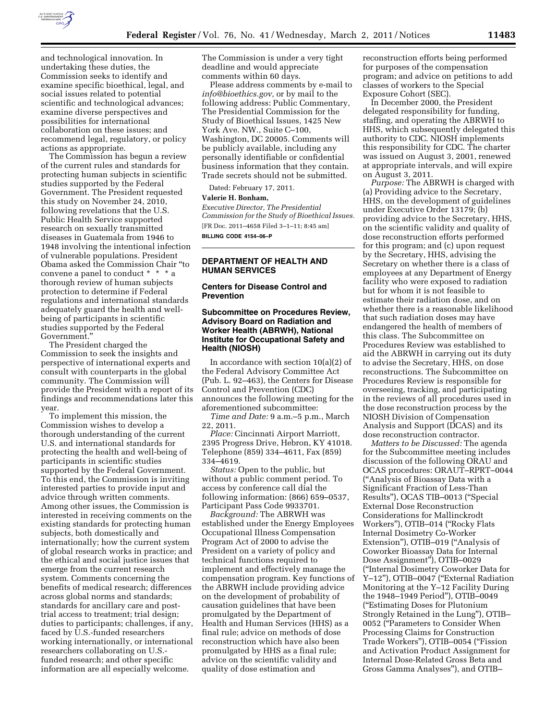

and technological innovation. In undertaking these duties, the Commission seeks to identify and examine specific bioethical, legal, and social issues related to potential scientific and technological advances; examine diverse perspectives and possibilities for international collaboration on these issues; and recommend legal, regulatory, or policy actions as appropriate.

The Commission has begun a review of the current rules and standards for protecting human subjects in scientific studies supported by the Federal Government. The President requested this study on November 24, 2010, following revelations that the U.S. Public Health Service supported research on sexually transmitted diseases in Guatemala from 1946 to 1948 involving the intentional infection of vulnerable populations. President Obama asked the Commission Chair ''to convene a panel to conduct \* \* \* a thorough review of human subjects protection to determine if Federal regulations and international standards adequately guard the health and wellbeing of participants in scientific studies supported by the Federal Government.''

The President charged the Commission to seek the insights and perspective of international experts and consult with counterparts in the global community. The Commission will provide the President with a report of its findings and recommendations later this year.

To implement this mission, the Commission wishes to develop a thorough understanding of the current U.S. and international standards for protecting the health and well-being of participants in scientific studies supported by the Federal Government. To this end, the Commission is inviting interested parties to provide input and advice through written comments. Among other issues, the Commission is interested in receiving comments on the existing standards for protecting human subjects, both domestically and internationally; how the current system of global research works in practice; and the ethical and social justice issues that emerge from the current research system. Comments concerning the benefits of medical research; differences across global norms and standards; standards for ancillary care and posttrial access to treatment; trial design; duties to participants; challenges, if any, faced by U.S.-funded researchers working internationally, or international researchers collaborating on U.S. funded research; and other specific information are all especially welcome.

The Commission is under a very tight deadline and would appreciate comments within 60 days.

Please address comments by e-mail to *[info@bioethics.gov,](mailto:info@bioethics.gov)* or by mail to the following address: Public Commentary, The Presidential Commission for the Study of Bioethical Issues, 1425 New York Ave. NW., Suite C–100, Washington, DC 20005. Comments will be publicly available, including any personally identifiable or confidential business information that they contain. Trade secrets should not be submitted.

Dated: February 17, 2011.

#### **Valerie H. Bonham,**

*Executive Director, The Presidential Commission for the Study of Bioethical Issues.*  [FR Doc. 2011–4658 Filed 3–1–11; 8:45 am] **BILLING CODE 4154–06–P** 

**DEPARTMENT OF HEALTH AND HUMAN SERVICES** 

#### **Centers for Disease Control and Prevention**

# **Subcommittee on Procedures Review, Advisory Board on Radiation and Worker Health (ABRWH), National Institute for Occupational Safety and Health (NIOSH)**

In accordance with section 10(a)(2) of the Federal Advisory Committee Act (Pub. L. 92–463), the Centers for Disease Control and Prevention (CDC) announces the following meeting for the aforementioned subcommittee:

*Time and Date:* 9 a.m.–5 p.m., March 22, 2011.

*Place:* Cincinnati Airport Marriott, 2395 Progress Drive, Hebron, KY 41018. Telephone (859) 334–4611, Fax (859) 334–4619.

*Status:* Open to the public, but without a public comment period. To access by conference call dial the following information: (866) 659–0537, Participant Pass Code 9933701.

*Background:* The ABRWH was established under the Energy Employees Occupational Illness Compensation Program Act of 2000 to advise the President on a variety of policy and technical functions required to implement and effectively manage the compensation program. Key functions of the ABRWH include providing advice on the development of probability of causation guidelines that have been promulgated by the Department of Health and Human Services (HHS) as a final rule; advice on methods of dose reconstruction which have also been promulgated by HHS as a final rule; advice on the scientific validity and quality of dose estimation and

reconstruction efforts being performed for purposes of the compensation program; and advice on petitions to add classes of workers to the Special Exposure Cohort (SEC).

In December 2000, the President delegated responsibility for funding, staffing, and operating the ABRWH to HHS, which subsequently delegated this authority to CDC. NIOSH implements this responsibility for CDC. The charter was issued on August 3, 2001, renewed at appropriate intervals, and will expire on August 3, 2011.

*Purpose:* The ABRWH is charged with (a) Providing advice to the Secretary, HHS, on the development of guidelines under Executive Order 13179; (b) providing advice to the Secretary, HHS, on the scientific validity and quality of dose reconstruction efforts performed for this program; and (c) upon request by the Secretary, HHS, advising the Secretary on whether there is a class of employees at any Department of Energy facility who were exposed to radiation but for whom it is not feasible to estimate their radiation dose, and on whether there is a reasonable likelihood that such radiation doses may have endangered the health of members of this class. The Subcommittee on Procedures Review was established to aid the ABRWH in carrying out its duty to advise the Secretary, HHS, on dose reconstructions. The Subcommittee on Procedures Review is responsible for overseeing, tracking, and participating in the reviews of all procedures used in the dose reconstruction process by the NIOSH Division of Compensation Analysis and Support (DCAS) and its dose reconstruction contractor.

*Matters to be Discussed:* The agenda for the Subcommittee meeting includes discussion of the following ORAU and OCAS procedures: ORAUT–RPRT–0044 (''Analysis of Bioassay Data with a Significant Fraction of Less-Than Results''), OCAS TIB–0013 (''Special External Dose Reconstruction Considerations for Mallinckrodt Workers''), OTIB–014 (''Rocky Flats Internal Dosimetry Co-Worker Extension''), OTIB–019 (''Analysis of Coworker Bioassay Data for Internal Dose Assignment''), OTIB–0029 (''Internal Dosimetry Coworker Data for Y–12''), OTIB–0047 (''External Radiation Monitoring at the Y–12 Facility During the 1948–1949 Period''), OTIB–0049 (''Estimating Doses for Plutonium Strongly Retained in the Lung''), OTIB– 0052 (''Parameters to Consider When Processing Claims for Construction Trade Workers''), OTIB–0054 (''Fission and Activation Product Assignment for Internal Dose-Related Gross Beta and Gross Gamma Analyses''), and OTIB–